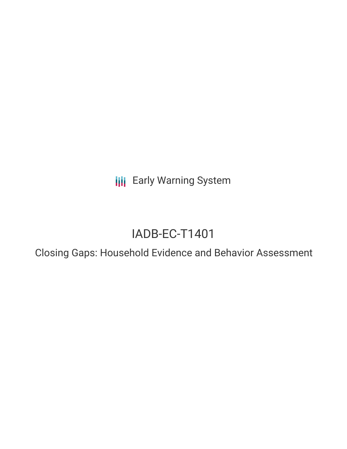**III** Early Warning System

# IADB-EC-T1401

Closing Gaps: Household Evidence and Behavior Assessment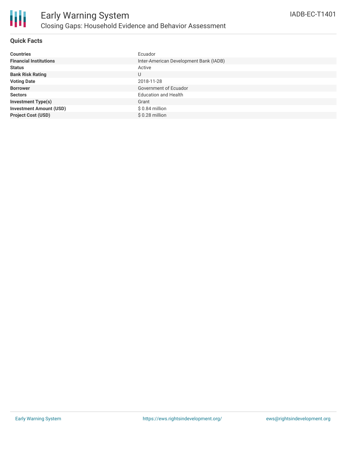

#### **Quick Facts**

| <b>Countries</b>               | Ecuador                                |
|--------------------------------|----------------------------------------|
| <b>Financial Institutions</b>  | Inter-American Development Bank (IADB) |
| <b>Status</b>                  | Active                                 |
| <b>Bank Risk Rating</b>        | U                                      |
| <b>Voting Date</b>             | 2018-11-28                             |
| <b>Borrower</b>                | Government of Ecuador                  |
| <b>Sectors</b>                 | <b>Education and Health</b>            |
| <b>Investment Type(s)</b>      | Grant                                  |
| <b>Investment Amount (USD)</b> | $$0.84$ million                        |
| <b>Project Cost (USD)</b>      | $$0.28$ million                        |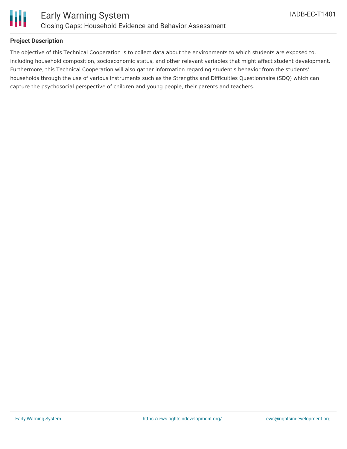

#### **Project Description**

The objective of this Technical Cooperation is to collect data about the environments to which students are exposed to, including household composition, socioeconomic status, and other relevant variables that might affect student development. Furthermore, this Technical Cooperation will also gather information regarding student's behavior from the students' households through the use of various instruments such as the Strengths and Difficulties Questionnaire (SDQ) which can capture the psychosocial perspective of children and young people, their parents and teachers.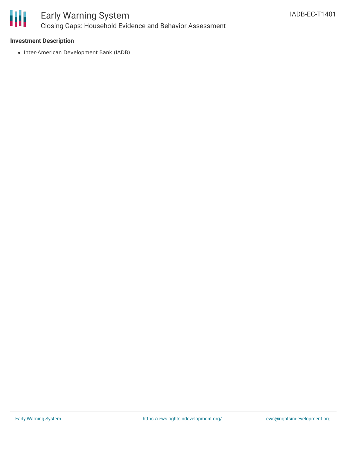

### Early Warning System Closing Gaps: Household Evidence and Behavior Assessment

#### **Investment Description**

• Inter-American Development Bank (IADB)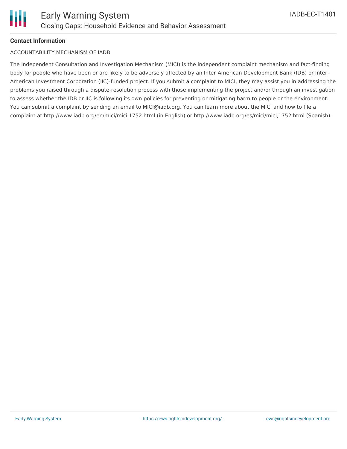#### **Contact Information**

#### ACCOUNTABILITY MECHANISM OF IADB

The Independent Consultation and Investigation Mechanism (MICI) is the independent complaint mechanism and fact-finding body for people who have been or are likely to be adversely affected by an Inter-American Development Bank (IDB) or Inter-American Investment Corporation (IIC)-funded project. If you submit a complaint to MICI, they may assist you in addressing the problems you raised through a dispute-resolution process with those implementing the project and/or through an investigation to assess whether the IDB or IIC is following its own policies for preventing or mitigating harm to people or the environment. You can submit a complaint by sending an email to MICI@iadb.org. You can learn more about the MICI and how to file a complaint at http://www.iadb.org/en/mici/mici,1752.html (in English) or http://www.iadb.org/es/mici/mici,1752.html (Spanish).